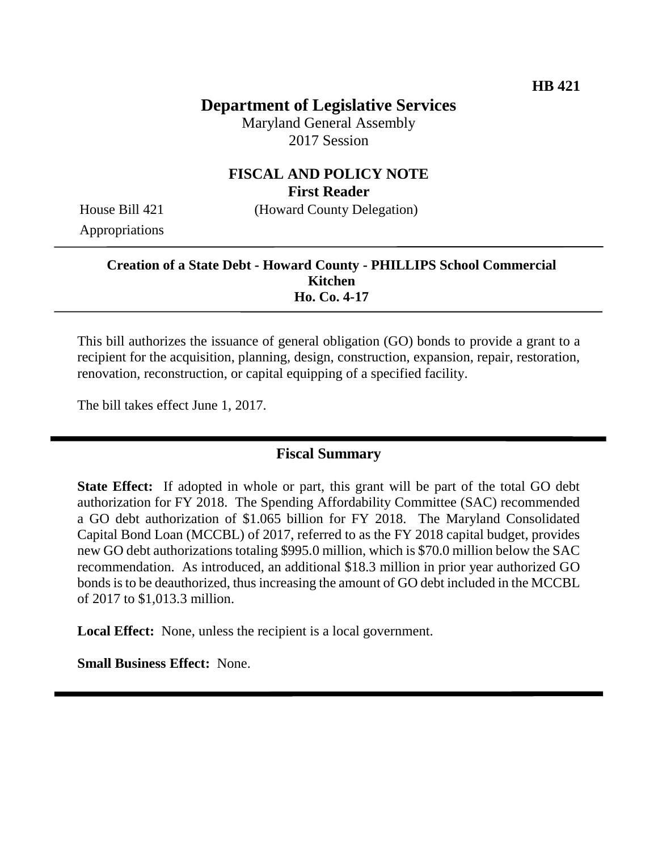### **Department of Legislative Services**

Maryland General Assembly 2017 Session

#### **FISCAL AND POLICY NOTE First Reader**

House Bill 421 (Howard County Delegation)

Appropriations

#### **Creation of a State Debt - Howard County - PHILLIPS School Commercial Kitchen Ho. Co. 4-17**

This bill authorizes the issuance of general obligation (GO) bonds to provide a grant to a recipient for the acquisition, planning, design, construction, expansion, repair, restoration, renovation, reconstruction, or capital equipping of a specified facility.

The bill takes effect June 1, 2017.

### **Fiscal Summary**

**State Effect:** If adopted in whole or part, this grant will be part of the total GO debt authorization for FY 2018. The Spending Affordability Committee (SAC) recommended a GO debt authorization of \$1.065 billion for FY 2018. The Maryland Consolidated Capital Bond Loan (MCCBL) of 2017, referred to as the FY 2018 capital budget, provides new GO debt authorizations totaling \$995.0 million, which is \$70.0 million below the SAC recommendation. As introduced, an additional \$18.3 million in prior year authorized GO bonds is to be deauthorized, thus increasing the amount of GO debt included in the MCCBL of 2017 to \$1,013.3 million.

**Local Effect:** None, unless the recipient is a local government.

**Small Business Effect:** None.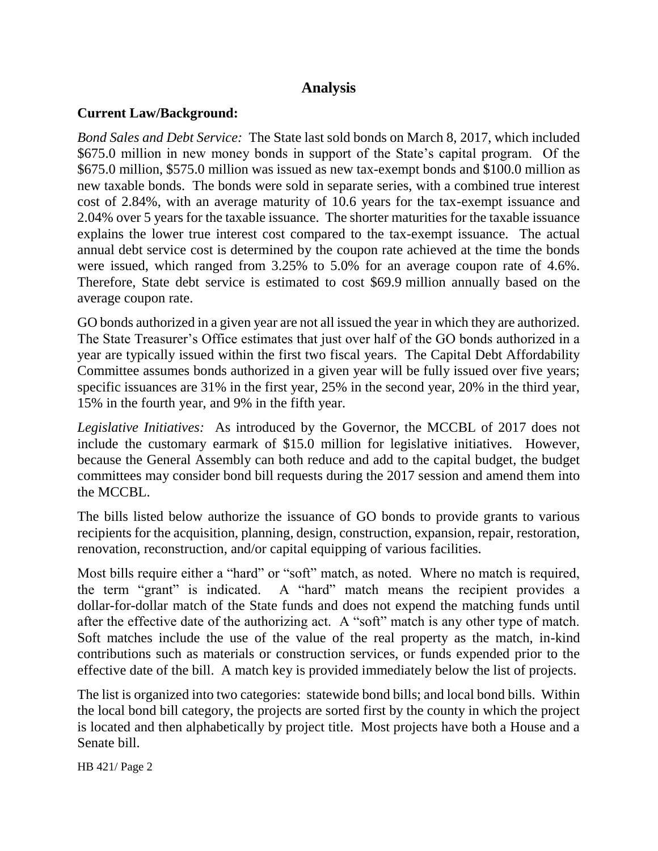## **Analysis**

### **Current Law/Background:**

*Bond Sales and Debt Service:* The State last sold bonds on March 8, 2017, which included \$675.0 million in new money bonds in support of the State's capital program. Of the \$675.0 million, \$575.0 million was issued as new tax-exempt bonds and \$100.0 million as new taxable bonds. The bonds were sold in separate series, with a combined true interest cost of 2.84%, with an average maturity of 10.6 years for the tax-exempt issuance and 2.04% over 5 years for the taxable issuance. The shorter maturities for the taxable issuance explains the lower true interest cost compared to the tax-exempt issuance. The actual annual debt service cost is determined by the coupon rate achieved at the time the bonds were issued, which ranged from 3.25% to 5.0% for an average coupon rate of 4.6%. Therefore, State debt service is estimated to cost \$69.9 million annually based on the average coupon rate.

GO bonds authorized in a given year are not all issued the year in which they are authorized. The State Treasurer's Office estimates that just over half of the GO bonds authorized in a year are typically issued within the first two fiscal years. The Capital Debt Affordability Committee assumes bonds authorized in a given year will be fully issued over five years; specific issuances are 31% in the first year, 25% in the second year, 20% in the third year, 15% in the fourth year, and 9% in the fifth year.

*Legislative Initiatives:* As introduced by the Governor, the MCCBL of 2017 does not include the customary earmark of \$15.0 million for legislative initiatives. However, because the General Assembly can both reduce and add to the capital budget, the budget committees may consider bond bill requests during the 2017 session and amend them into the MCCBL.

The bills listed below authorize the issuance of GO bonds to provide grants to various recipients for the acquisition, planning, design, construction, expansion, repair, restoration, renovation, reconstruction, and/or capital equipping of various facilities.

Most bills require either a "hard" or "soft" match, as noted. Where no match is required, the term "grant" is indicated. A "hard" match means the recipient provides a dollar-for-dollar match of the State funds and does not expend the matching funds until after the effective date of the authorizing act. A "soft" match is any other type of match. Soft matches include the use of the value of the real property as the match, in-kind contributions such as materials or construction services, or funds expended prior to the effective date of the bill. A match key is provided immediately below the list of projects.

The list is organized into two categories: statewide bond bills; and local bond bills. Within the local bond bill category, the projects are sorted first by the county in which the project is located and then alphabetically by project title. Most projects have both a House and a Senate bill.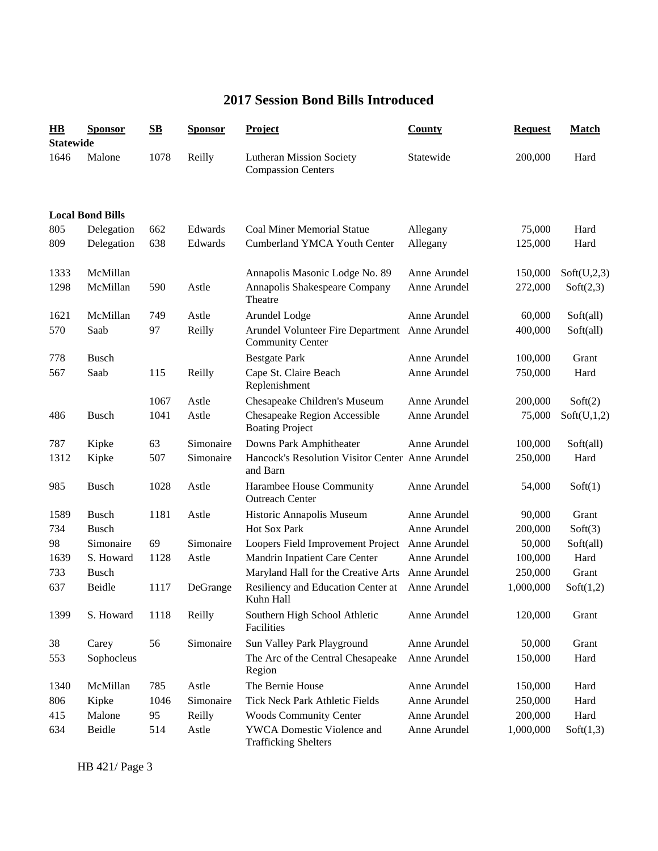# **2017 Session Bond Bills Introduced**

| $\bf{HB}$<br><b>Statewide</b> | <b>Sponsor</b>          | $\mathbf{S}\mathbf{B}$ | <b>Sponsor</b> | <b>Project</b>                                                            | <b>County</b> | <b>Request</b> | <b>Match</b> |
|-------------------------------|-------------------------|------------------------|----------------|---------------------------------------------------------------------------|---------------|----------------|--------------|
| 1646                          | Malone                  | 1078                   | Reilly         | <b>Lutheran Mission Society</b><br><b>Compassion Centers</b>              | Statewide     | 200,000        | Hard         |
|                               | <b>Local Bond Bills</b> |                        |                |                                                                           |               |                |              |
| 805                           | Delegation              | 662                    | Edwards        | <b>Coal Miner Memorial Statue</b>                                         | Allegany      | 75,000         | Hard         |
| 809                           | Delegation              | 638                    | Edwards        | <b>Cumberland YMCA Youth Center</b>                                       | Allegany      | 125,000        | Hard         |
| 1333                          | McMillan                |                        |                | Annapolis Masonic Lodge No. 89                                            | Anne Arundel  | 150,000        | Soft(U,2,3)  |
| 1298                          | McMillan                | 590                    | Astle          | Annapolis Shakespeare Company<br>Theatre                                  | Anne Arundel  | 272,000        | Soft(2,3)    |
| 1621                          | McMillan                | 749                    | Astle          | Arundel Lodge                                                             | Anne Arundel  | 60,000         | Soft(all)    |
| 570                           | Saab                    | 97                     | Reilly         | Arundel Volunteer Fire Department Anne Arundel<br><b>Community Center</b> |               | 400,000        | Soft(all)    |
| 778                           | <b>Busch</b>            |                        |                | <b>Bestgate Park</b>                                                      | Anne Arundel  | 100,000        | Grant        |
| 567                           | Saab                    | 115                    | Reilly         | Cape St. Claire Beach<br>Replenishment                                    | Anne Arundel  | 750,000        | Hard         |
|                               |                         | 1067                   | Astle          | Chesapeake Children's Museum                                              | Anne Arundel  | 200,000        | Soft(2)      |
| 486                           | <b>Busch</b>            | 1041                   | Astle          | Chesapeake Region Accessible<br><b>Boating Project</b>                    | Anne Arundel  | 75,000         | Soft(U,1,2)  |
| 787                           | Kipke                   | 63                     | Simonaire      | Downs Park Amphitheater                                                   | Anne Arundel  | 100,000        | Soft(all)    |
| 1312                          | Kipke                   | 507                    | Simonaire      | Hancock's Resolution Visitor Center Anne Arundel<br>and Barn              |               | 250,000        | Hard         |
| 985                           | <b>Busch</b>            | 1028                   | Astle          | Harambee House Community<br><b>Outreach Center</b>                        | Anne Arundel  | 54,000         | Soft(1)      |
| 1589                          | <b>Busch</b>            | 1181                   | Astle          | Historic Annapolis Museum                                                 | Anne Arundel  | 90,000         | Grant        |
| 734                           | <b>Busch</b>            |                        |                | Hot Sox Park                                                              | Anne Arundel  | 200,000        | Soft(3)      |
| 98                            | Simonaire               | 69                     | Simonaire      | Loopers Field Improvement Project                                         | Anne Arundel  | 50,000         | Soft(all)    |
| 1639                          | S. Howard               | 1128                   | Astle          | Mandrin Inpatient Care Center                                             | Anne Arundel  | 100,000        | Hard         |
| 733                           | <b>Busch</b>            |                        |                | Maryland Hall for the Creative Arts                                       | Anne Arundel  | 250,000        | Grant        |
| 637                           | Beidle                  | 1117                   | DeGrange       | Resiliency and Education Center at<br>Kuhn Hall-                          | Anne Arundel  | 1,000,000      | Soft(1,2)    |
| 1399                          | S. Howard               | 1118                   | Reilly         | Southern High School Athletic<br>Facilities                               | Anne Arundel  | 120,000        | Grant        |
| 38                            | Carey                   | 56                     | Simonaire      | Sun Valley Park Playground                                                | Anne Arundel  | 50,000         | Grant        |
| 553                           | Sophocleus              |                        |                | The Arc of the Central Chesapeake<br>Region                               | Anne Arundel  | 150,000        | Hard         |
| 1340                          | McMillan                | 785                    | Astle          | The Bernie House                                                          | Anne Arundel  | 150,000        | Hard         |
| 806                           | Kipke                   | 1046                   | Simonaire      | Tick Neck Park Athletic Fields                                            | Anne Arundel  | 250,000        | Hard         |
| 415                           | Malone                  | 95                     | Reilly         | <b>Woods Community Center</b>                                             | Anne Arundel  | 200,000        | Hard         |
| 634                           | Beidle                  | 514                    | Astle          | YWCA Domestic Violence and<br><b>Trafficking Shelters</b>                 | Anne Arundel  | 1,000,000      | Soft(1,3)    |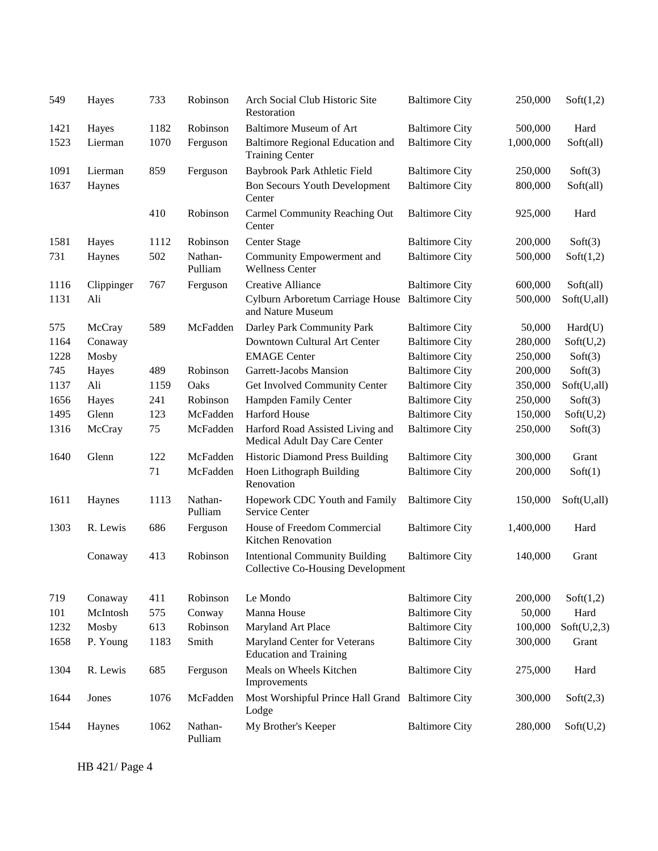| 549  | Hayes      | 733  | Robinson           | Arch Social Club Historic Site<br>Restoration                                     | <b>Baltimore City</b> | 250,000   | Soft(1,2)   |
|------|------------|------|--------------------|-----------------------------------------------------------------------------------|-----------------------|-----------|-------------|
| 1421 | Hayes      | 1182 | Robinson           | <b>Baltimore Museum of Art</b>                                                    | <b>Baltimore City</b> | 500,000   | Hard        |
| 1523 | Lierman    | 1070 | Ferguson           | Baltimore Regional Education and<br><b>Training Center</b>                        | <b>Baltimore City</b> | 1,000,000 | Soft(all)   |
| 1091 | Lierman    | 859  | Ferguson           | Baybrook Park Athletic Field                                                      | <b>Baltimore City</b> | 250,000   | Soft(3)     |
| 1637 | Haynes     |      |                    | <b>Bon Secours Youth Development</b><br>Center                                    | <b>Baltimore City</b> | 800,000   | Soft(all)   |
|      |            | 410  | Robinson           | Carmel Community Reaching Out<br>Center                                           | <b>Baltimore City</b> | 925,000   | Hard        |
| 1581 | Hayes      | 1112 | Robinson           | Center Stage                                                                      | <b>Baltimore City</b> | 200,000   | Soft(3)     |
| 731  | Haynes     | 502  | Nathan-<br>Pulliam | Community Empowerment and<br><b>Wellness Center</b>                               | <b>Baltimore City</b> | 500,000   | Soft(1,2)   |
| 1116 | Clippinger | 767  | Ferguson           | <b>Creative Alliance</b>                                                          | <b>Baltimore City</b> | 600,000   | Soft(all)   |
| 1131 | Ali        |      |                    | Cylburn Arboretum Carriage House<br>and Nature Museum                             | <b>Baltimore City</b> | 500,000   | Soft(U,all) |
| 575  | McCray     | 589  | McFadden           | Darley Park Community Park                                                        | <b>Baltimore City</b> | 50,000    | Hard(U)     |
| 1164 | Conaway    |      |                    | Downtown Cultural Art Center                                                      | <b>Baltimore City</b> | 280,000   | Soft(U,2)   |
| 1228 | Mosby      |      |                    | <b>EMAGE Center</b>                                                               | <b>Baltimore City</b> | 250,000   | Soft(3)     |
| 745  | Hayes      | 489  | Robinson           | Garrett-Jacobs Mansion                                                            | <b>Baltimore City</b> | 200,000   | Soft(3)     |
| 1137 | Ali        | 1159 | Oaks               | Get Involved Community Center                                                     | <b>Baltimore City</b> | 350,000   | Soft(U,all) |
| 1656 | Hayes      | 241  | Robinson           | Hampden Family Center                                                             | <b>Baltimore City</b> | 250,000   | Soft(3)     |
| 1495 | Glenn      | 123  | McFadden           | Harford House                                                                     | <b>Baltimore City</b> | 150,000   | Soft(U,2)   |
| 1316 | McCray     | 75   | McFadden           | Harford Road Assisted Living and<br>Medical Adult Day Care Center                 | <b>Baltimore City</b> | 250,000   | Soft(3)     |
| 1640 | Glenn      | 122  | McFadden           | <b>Historic Diamond Press Building</b>                                            | <b>Baltimore City</b> | 300,000   | Grant       |
|      |            | 71   | McFadden           | Hoen Lithograph Building<br>Renovation                                            | <b>Baltimore City</b> | 200,000   | Soft(1)     |
| 1611 | Haynes     | 1113 | Nathan-<br>Pulliam | Hopework CDC Youth and Family<br>Service Center                                   | <b>Baltimore City</b> | 150,000   | Soft(U,all) |
| 1303 | R. Lewis   | 686  | Ferguson           | House of Freedom Commercial<br>Kitchen Renovation                                 | <b>Baltimore City</b> | 1,400,000 | Hard        |
|      | Conaway    | 413  | Robinson           | <b>Intentional Community Building</b><br><b>Collective Co-Housing Development</b> | <b>Baltimore City</b> | 140,000   | Grant       |
| 719  | Conaway    | 411  | Robinson           | Le Mondo                                                                          | <b>Baltimore City</b> | 200,000   | Soft(1,2)   |
| 101  | McIntosh   | 575  | Conway             | Manna House                                                                       | <b>Baltimore City</b> | 50,000    | Hard        |
| 1232 | Mosby      | 613  | Robinson           | Maryland Art Place                                                                | <b>Baltimore City</b> | 100,000   | Soft(U,2,3) |
| 1658 | P. Young   | 1183 | Smith              | Maryland Center for Veterans<br><b>Education and Training</b>                     | <b>Baltimore City</b> | 300,000   | Grant       |
| 1304 | R. Lewis   | 685  | Ferguson           | Meals on Wheels Kitchen<br>Improvements                                           | <b>Baltimore City</b> | 275,000   | Hard        |
| 1644 | Jones      | 1076 | McFadden           | Most Worshipful Prince Hall Grand Baltimore City<br>Lodge                         |                       | 300,000   | Soft(2,3)   |
| 1544 | Haynes     | 1062 | Nathan-<br>Pulliam | My Brother's Keeper                                                               | <b>Baltimore City</b> | 280,000   | Soft(U,2)   |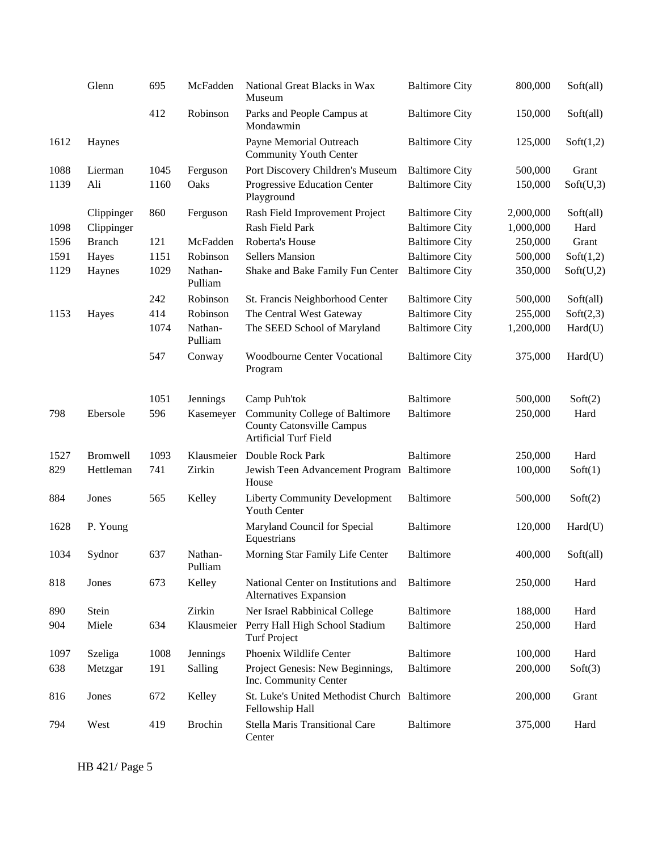|      | Glenn           | 695  | McFadden           | National Great Blacks in Wax<br>Museum                                                      | <b>Baltimore City</b> | 800,000   | Soft(all) |
|------|-----------------|------|--------------------|---------------------------------------------------------------------------------------------|-----------------------|-----------|-----------|
|      |                 | 412  | Robinson           | Parks and People Campus at<br>Mondawmin                                                     | <b>Baltimore City</b> | 150,000   | Soft(all) |
| 1612 | Haynes          |      |                    | Payne Memorial Outreach<br><b>Community Youth Center</b>                                    | <b>Baltimore City</b> | 125,000   | Soft(1,2) |
| 1088 | Lierman         | 1045 | Ferguson           | Port Discovery Children's Museum                                                            | <b>Baltimore City</b> | 500,000   | Grant     |
| 1139 | Ali             | 1160 | Oaks               | Progressive Education Center<br>Playground                                                  | <b>Baltimore City</b> | 150,000   | Soft(U,3) |
|      | Clippinger      | 860  | Ferguson           | Rash Field Improvement Project                                                              | <b>Baltimore City</b> | 2,000,000 | Soft(all) |
| 1098 | Clippinger      |      |                    | Rash Field Park                                                                             | <b>Baltimore City</b> | 1,000,000 | Hard      |
| 1596 | <b>Branch</b>   | 121  | McFadden           | Roberta's House                                                                             | <b>Baltimore City</b> | 250,000   | Grant     |
| 1591 | Hayes           | 1151 | Robinson           | <b>Sellers Mansion</b>                                                                      | <b>Baltimore City</b> | 500,000   | Soft(1,2) |
| 1129 | Haynes          | 1029 | Nathan-<br>Pulliam | Shake and Bake Family Fun Center                                                            | <b>Baltimore City</b> | 350,000   | Soft(U,2) |
|      |                 | 242  | Robinson           | St. Francis Neighborhood Center                                                             | <b>Baltimore City</b> | 500,000   | Soft(all) |
| 1153 | Hayes           | 414  | Robinson           | The Central West Gateway                                                                    | <b>Baltimore City</b> | 255,000   | Soft(2,3) |
|      |                 | 1074 | Nathan-<br>Pulliam | The SEED School of Maryland                                                                 | <b>Baltimore City</b> | 1,200,000 | Hard(U)   |
|      |                 | 547  | Conway             | <b>Woodbourne Center Vocational</b><br>Program                                              | <b>Baltimore City</b> | 375,000   | Hard(U)   |
|      |                 | 1051 | Jennings           | Camp Puh'tok                                                                                | <b>Baltimore</b>      | 500,000   | Soft(2)   |
| 798  | Ebersole        | 596  | Kasemeyer          | Community College of Baltimore<br><b>County Catonsville Campus</b><br>Artificial Turf Field | <b>Baltimore</b>      | 250,000   | Hard      |
| 1527 | <b>Bromwell</b> | 1093 |                    | Klausmeier Double Rock Park                                                                 | Baltimore             | 250,000   | Hard      |
| 829  | Hettleman       | 741  | Zirkin             | Jewish Teen Advancement Program Baltimore<br>House                                          |                       | 100,000   | Soft(1)   |
| 884  | Jones           | 565  | Kelley             | <b>Liberty Community Development</b><br>Youth Center                                        | Baltimore             | 500,000   | Soft(2)   |
| 1628 | P. Young        |      |                    | Maryland Council for Special<br>Equestrians                                                 | Baltimore             | 120,000   | Hard(U)   |
| 1034 | Sydnor          | 637  | Nathan-<br>Pulliam | Morning Star Family Life Center                                                             | <b>Baltimore</b>      | 400,000   | Soft(all) |
| 818  | Jones           | 673  | Kelley             | National Center on Institutions and<br>Alternatives Expansion                               | <b>Baltimore</b>      | 250,000   | Hard      |
| 890  | Stein           |      | Zirkin             | Ner Israel Rabbinical College                                                               | Baltimore             | 188,000   | Hard      |
| 904  | Miele           | 634  | Klausmeier         | Perry Hall High School Stadium<br><b>Turf Project</b>                                       | <b>Baltimore</b>      | 250,000   | Hard      |
| 1097 | Szeliga         | 1008 | Jennings           | Phoenix Wildlife Center                                                                     | Baltimore             | 100,000   | Hard      |
| 638  | Metzgar         | 191  | Salling            | Project Genesis: New Beginnings,<br>Inc. Community Center                                   | Baltimore             | 200,000   | Soft(3)   |
| 816  | Jones           | 672  | Kelley             | St. Luke's United Methodist Church Baltimore<br>Fellowship Hall                             |                       | 200,000   | Grant     |
| 794  | West            | 419  | <b>Brochin</b>     | Stella Maris Transitional Care<br>Center                                                    | <b>Baltimore</b>      | 375,000   | Hard      |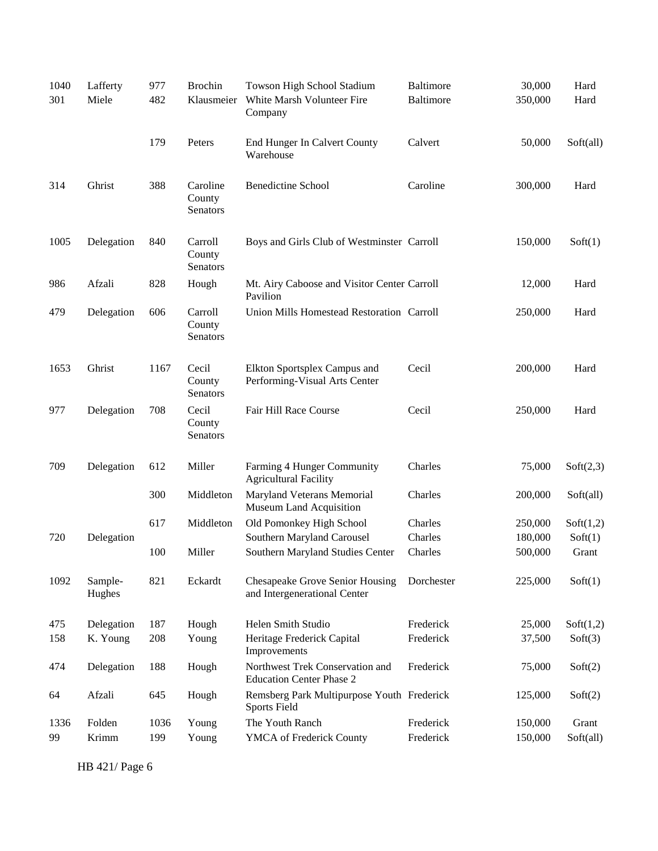| 1040<br>301 | Lafferty<br>Miele | 977<br>482 | <b>Brochin</b><br>Klausmeier   | Towson High School Stadium<br>White Marsh Volunteer Fire<br>Company | <b>Baltimore</b><br><b>Baltimore</b> | 30,000<br>350,000 | Hard<br>Hard |
|-------------|-------------------|------------|--------------------------------|---------------------------------------------------------------------|--------------------------------------|-------------------|--------------|
|             |                   | 179        | Peters                         | End Hunger In Calvert County<br>Warehouse                           | Calvert                              | 50,000            | Soft(all)    |
| 314         | Ghrist            | 388        | Caroline<br>County<br>Senators | <b>Benedictine School</b>                                           | Caroline                             | 300,000           | Hard         |
| 1005        | Delegation        | 840        | Carroll<br>County<br>Senators  | Boys and Girls Club of Westminster Carroll                          |                                      | 150,000           | Soft(1)      |
| 986         | Afzali            | 828        | Hough                          | Mt. Airy Caboose and Visitor Center Carroll<br>Pavilion             |                                      | 12,000            | Hard         |
| 479         | Delegation        | 606        | Carroll<br>County<br>Senators  | Union Mills Homestead Restoration Carroll                           |                                      | 250,000           | Hard         |
| 1653        | Ghrist            | 1167       | Cecil<br>County<br>Senators    | Elkton Sportsplex Campus and<br>Performing-Visual Arts Center       | Cecil                                | 200,000           | Hard         |
| 977         | Delegation        | 708        | Cecil<br>County<br>Senators    | Fair Hill Race Course                                               | Cecil                                | 250,000           | Hard         |
| 709         | Delegation        | 612        | Miller                         | Farming 4 Hunger Community<br><b>Agricultural Facility</b>          | Charles                              | 75,000            | Soft(2,3)    |
|             |                   | 300        | Middleton                      | Maryland Veterans Memorial<br>Museum Land Acquisition               | Charles                              | 200,000           | Soft(all)    |
|             |                   | 617        | Middleton                      | Old Pomonkey High School                                            | Charles                              | 250,000           | Soft(1,2)    |
| 720         | Delegation        |            |                                | Southern Maryland Carousel                                          | Charles                              | 180,000           | Soft(1)      |
|             |                   | 100        | Miller                         | Southern Maryland Studies Center                                    | Charles                              | 500,000           | Grant        |
| 1092        | Sample-<br>Hughes | 821        | Eckardt                        | Chesapeake Grove Senior Housing<br>and Intergenerational Center     | Dorchester                           | 225,000           | Soft(1)      |
| 475         | Delegation        | 187        | Hough                          | Helen Smith Studio                                                  | Frederick                            | 25,000            | Soft(1,2)    |
| 158         | K. Young          | 208        | Young                          | Heritage Frederick Capital<br>Improvements                          | Frederick                            | 37,500            | Soft(3)      |
| 474         | Delegation        | 188        | Hough                          | Northwest Trek Conservation and<br><b>Education Center Phase 2</b>  | Frederick                            | 75,000            | Soft(2)      |
| 64          | Afzali            | 645        | Hough                          | Remsberg Park Multipurpose Youth Frederick<br><b>Sports Field</b>   |                                      | 125,000           | Soft(2)      |
| 1336        | Folden            | 1036       | Young                          | The Youth Ranch                                                     | Frederick                            | 150,000           | Grant        |
| 99          | Krimm             | 199        | Young                          | YMCA of Frederick County                                            | Frederick                            | 150,000           | Soft(all)    |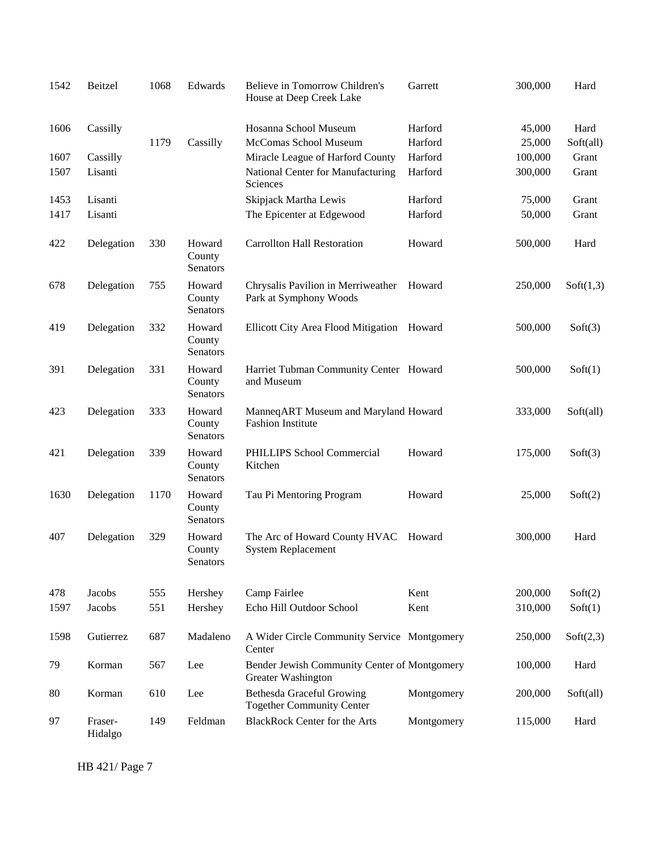| 1542 | Beitzel            | 1068 | Edwards                      | Believe in Tomorrow Children's<br>House at Deep Creek Lake           | Garrett    | 300,000 | Hard      |
|------|--------------------|------|------------------------------|----------------------------------------------------------------------|------------|---------|-----------|
| 1606 | Cassilly           |      |                              | Hosanna School Museum                                                | Harford    | 45,000  | Hard      |
|      |                    | 1179 | Cassilly                     | McComas School Museum                                                | Harford    | 25,000  | Soft(all) |
| 1607 | Cassilly           |      |                              | Miracle League of Harford County                                     | Harford    | 100,000 | Grant     |
| 1507 | Lisanti            |      |                              | National Center for Manufacturing<br>Sciences                        | Harford    | 300,000 | Grant     |
| 1453 | Lisanti            |      |                              | Skipjack Martha Lewis                                                | Harford    | 75,000  | Grant     |
| 1417 | Lisanti            |      |                              | The Epicenter at Edgewood                                            | Harford    | 50,000  | Grant     |
| 422  | Delegation         | 330  | Howard<br>County<br>Senators | <b>Carrollton Hall Restoration</b>                                   | Howard     | 500,000 | Hard      |
| 678  | Delegation         | 755  | Howard<br>County<br>Senators | Chrysalis Pavilion in Merriweather<br>Park at Symphony Woods         | Howard     | 250,000 | Soft(1,3) |
| 419  | Delegation         | 332  | Howard<br>County<br>Senators | Ellicott City Area Flood Mitigation Howard                           |            | 500,000 | Soft(3)   |
| 391  | Delegation         | 331  | Howard<br>County<br>Senators | Harriet Tubman Community Center Howard<br>and Museum                 |            | 500,000 | Soft(1)   |
| 423  | Delegation         | 333  | Howard<br>County<br>Senators | ManneqART Museum and Maryland Howard<br><b>Fashion Institute</b>     |            | 333,000 | Soft(all) |
| 421  | Delegation         | 339  | Howard<br>County<br>Senators | PHILLIPS School Commercial<br>Kitchen                                | Howard     | 175,000 | Soft(3)   |
| 1630 | Delegation         | 1170 | Howard<br>County<br>Senators | Tau Pi Mentoring Program                                             | Howard     | 25,000  | Soft(2)   |
| 407  | Delegation         | 329  | Howard<br>County<br>Senators | The Arc of Howard County HVAC<br><b>System Replacement</b>           | Howard     | 300,000 | Hard      |
| 478  | Jacobs             | 555  | Hershey                      | Camp Fairlee                                                         | Kent       | 200,000 | Soft(2)   |
| 1597 | Jacobs             | 551  | Hershey                      | Echo Hill Outdoor School                                             | Kent       | 310,000 | Soft(1)   |
| 1598 | Gutierrez          | 687  | Madaleno                     | A Wider Circle Community Service Montgomery<br>Center                |            | 250,000 | Soft(2,3) |
| 79   | Korman             | 567  | Lee                          | Bender Jewish Community Center of Montgomery<br>Greater Washington   |            | 100,000 | Hard      |
| 80   | Korman             | 610  | Lee                          | <b>Bethesda Graceful Growing</b><br><b>Together Community Center</b> | Montgomery | 200,000 | Soft(all) |
| 97   | Fraser-<br>Hidalgo | 149  | Feldman                      | <b>BlackRock Center for the Arts</b>                                 | Montgomery | 115,000 | Hard      |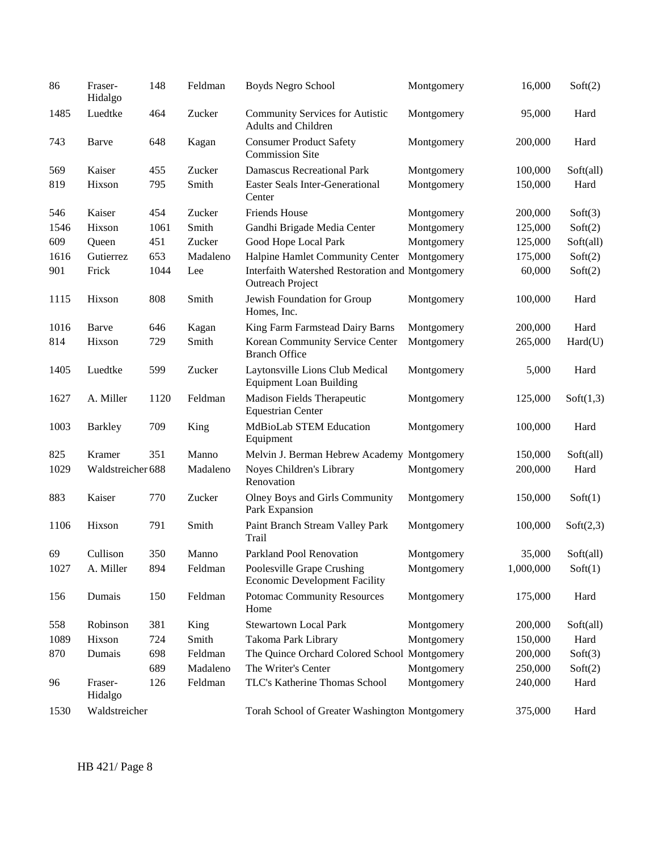| 86   | Fraser-<br>Hidalgo | 148                                           | Feldman  | Boyds Negro School                                                         | Montgomery | 16,000    | Soft(2)   |
|------|--------------------|-----------------------------------------------|----------|----------------------------------------------------------------------------|------------|-----------|-----------|
| 1485 | Luedtke            | 464                                           | Zucker   | <b>Community Services for Autistic</b><br><b>Adults and Children</b>       | Montgomery | 95,000    | Hard      |
| 743  | Barve              | 648                                           | Kagan    | <b>Consumer Product Safety</b><br><b>Commission Site</b>                   | Montgomery | 200,000   | Hard      |
| 569  | Kaiser             | 455                                           | Zucker   | <b>Damascus Recreational Park</b>                                          | Montgomery | 100,000   | Soft(all) |
| 819  | Hixson             | 795                                           | Smith    | <b>Easter Seals Inter-Generational</b><br>Center                           | Montgomery | 150,000   | Hard      |
| 546  | Kaiser             | 454                                           | Zucker   | <b>Friends House</b>                                                       | Montgomery | 200,000   | Soft(3)   |
| 1546 | Hixson             | 1061                                          | Smith    | Gandhi Brigade Media Center                                                | Montgomery | 125,000   | Soft(2)   |
| 609  | Queen              | 451                                           | Zucker   | Good Hope Local Park                                                       | Montgomery | 125,000   | Soft(all) |
| 1616 | Gutierrez          | 653                                           | Madaleno | Halpine Hamlet Community Center                                            | Montgomery | 175,000   | Soft(2)   |
| 901  | Frick              | 1044                                          | Lee      | Interfaith Watershed Restoration and Montgomery<br><b>Outreach Project</b> |            | 60,000    | Soft(2)   |
| 1115 | Hixson             | 808                                           | Smith    | Jewish Foundation for Group<br>Homes, Inc.                                 | Montgomery | 100,000   | Hard      |
| 1016 | Barve              | 646                                           | Kagan    | King Farm Farmstead Dairy Barns                                            | Montgomery | 200,000   | Hard      |
| 814  | Hixson             | 729                                           | Smith    | Korean Community Service Center<br><b>Branch Office</b>                    | Montgomery | 265,000   | Hard(U)   |
| 1405 | Luedtke            | 599                                           | Zucker   | Laytonsville Lions Club Medical<br><b>Equipment Loan Building</b>          | Montgomery | 5,000     | Hard      |
| 1627 | A. Miller          | 1120                                          | Feldman  | Madison Fields Therapeutic<br><b>Equestrian Center</b>                     | Montgomery | 125,000   | Soft(1,3) |
| 1003 | <b>Barkley</b>     | 709                                           | King     | <b>MdBioLab STEM Education</b><br>Equipment                                | Montgomery | 100,000   | Hard      |
| 825  | Kramer             | 351                                           | Manno    | Melvin J. Berman Hebrew Academy Montgomery                                 |            | 150,000   | Soft(all) |
| 1029 | Waldstreicher 688  |                                               | Madaleno | Noyes Children's Library<br>Renovation                                     | Montgomery | 200,000   | Hard      |
| 883  | Kaiser             | 770                                           | Zucker   | Olney Boys and Girls Community<br>Park Expansion                           | Montgomery | 150,000   | Soft(1)   |
| 1106 | Hixson             | 791                                           | Smith    | Paint Branch Stream Valley Park<br>Trail                                   | Montgomery | 100,000   | Soft(2,3) |
| 69   | Cullison           | 350                                           | Manno    | Parkland Pool Renovation                                                   | Montgomery | 35,000    | Soft(all) |
| 1027 | A. Miller          | 894                                           | Feldman  | Poolesville Grape Crushing<br><b>Economic Development Facility</b>         | Montgomery | 1,000,000 | Soft(1)   |
| 156  | Dumais             | 150                                           | Feldman  | <b>Potomac Community Resources</b><br>Home                                 | Montgomery | 175,000   | Hard      |
| 558  | Robinson           | 381                                           | King     | <b>Stewartown Local Park</b>                                               | Montgomery | 200,000   | Soft(all) |
| 1089 | Hixson             | 724                                           | Smith    | Takoma Park Library                                                        | Montgomery | 150,000   | Hard      |
| 870  | Dumais             | 698                                           | Feldman  | The Quince Orchard Colored School Montgomery                               |            | 200,000   | Soft(3)   |
|      |                    | 689                                           | Madaleno | The Writer's Center                                                        | Montgomery | 250,000   | Soft(2)   |
| 96   | Fraser-<br>Hidalgo | 126                                           | Feldman  | TLC's Katherine Thomas School                                              | Montgomery | 240,000   | Hard      |
| 1530 | Waldstreicher      | Torah School of Greater Washington Montgomery |          |                                                                            | 375,000    | Hard      |           |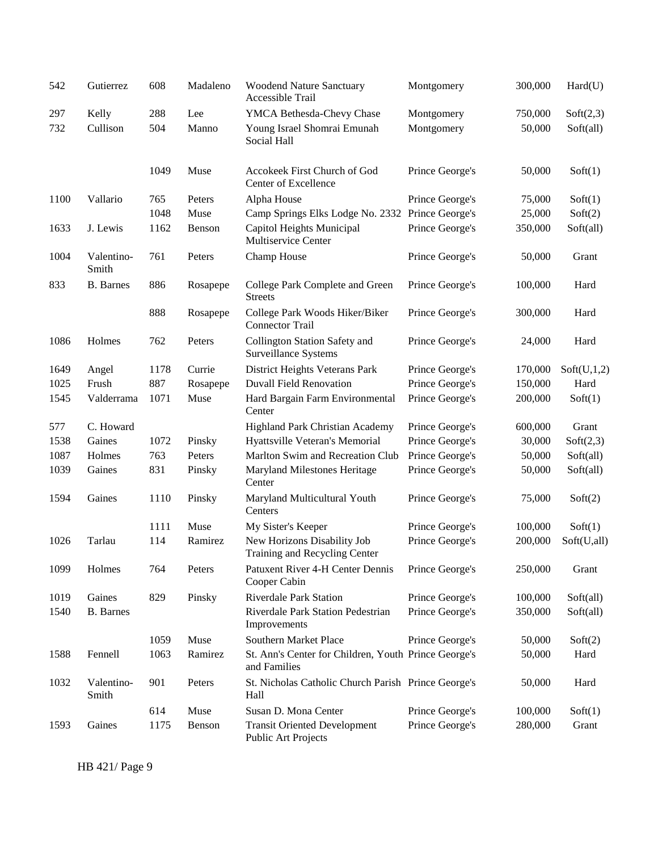| 542  | Gutierrez           | 608  | Madaleno | <b>Woodend Nature Sanctuary</b><br>Accessible Trail                  | Montgomery      | 300,000 | Hard(U)     |
|------|---------------------|------|----------|----------------------------------------------------------------------|-----------------|---------|-------------|
| 297  | Kelly               | 288  | Lee      | YMCA Bethesda-Chevy Chase                                            | Montgomery      | 750,000 | Soft(2,3)   |
| 732  | Cullison            | 504  | Manno    | Young Israel Shomrai Emunah<br>Social Hall                           | Montgomery      | 50,000  | Soft(all)   |
|      |                     | 1049 | Muse     | Accokeek First Church of God<br>Center of Excellence                 | Prince George's | 50,000  | Soft(1)     |
| 1100 | Vallario            | 765  | Peters   | Alpha House                                                          | Prince George's | 75,000  | Soft(1)     |
|      |                     | 1048 | Muse     | Camp Springs Elks Lodge No. 2332                                     | Prince George's | 25,000  | Soft(2)     |
| 1633 | J. Lewis            | 1162 | Benson   | Capitol Heights Municipal<br>Multiservice Center                     | Prince George's | 350,000 | Soft(all)   |
| 1004 | Valentino-<br>Smith | 761  | Peters   | Champ House                                                          | Prince George's | 50,000  | Grant       |
| 833  | <b>B.</b> Barnes    | 886  | Rosapepe | College Park Complete and Green<br><b>Streets</b>                    | Prince George's | 100,000 | Hard        |
|      |                     | 888  | Rosapepe | College Park Woods Hiker/Biker<br><b>Connector Trail</b>             | Prince George's | 300,000 | Hard        |
| 1086 | Holmes              | 762  | Peters   | Collington Station Safety and<br>Surveillance Systems                | Prince George's | 24,000  | Hard        |
| 1649 | Angel               | 1178 | Currie   | District Heights Veterans Park                                       | Prince George's | 170,000 | Soft(U,1,2) |
| 1025 | Frush               | 887  | Rosapepe | <b>Duvall Field Renovation</b>                                       | Prince George's | 150,000 | Hard        |
| 1545 | Valderrama          | 1071 | Muse     | Hard Bargain Farm Environmental<br>Center                            | Prince George's | 200,000 | Soft(1)     |
| 577  | C. Howard           |      |          | Highland Park Christian Academy                                      | Prince George's | 600,000 | Grant       |
| 1538 | Gaines              | 1072 | Pinsky   | Hyattsville Veteran's Memorial                                       | Prince George's | 30,000  | Soft(2,3)   |
| 1087 | Holmes              | 763  | Peters   | Marlton Swim and Recreation Club                                     | Prince George's | 50,000  | Soft(all)   |
| 1039 | Gaines              | 831  | Pinsky   | Maryland Milestones Heritage<br>Center                               | Prince George's | 50,000  | Soft(all)   |
| 1594 | Gaines              | 1110 | Pinsky   | Maryland Multicultural Youth<br>Centers                              | Prince George's | 75,000  | Soft(2)     |
|      |                     | 1111 | Muse     | My Sister's Keeper                                                   | Prince George's | 100,000 | Soft(1)     |
| 1026 | Tarlau              | 114  | Ramirez  | New Horizons Disability Job<br>Training and Recycling Center         | Prince George's | 200,000 | Soft(U,all) |
| 1099 | Holmes              | 764  | Peters   | Patuxent River 4-H Center Dennis<br>Cooper Cabin                     | Prince George's | 250,000 | Grant       |
| 1019 | Gaines              | 829  | Pinsky   | <b>Riverdale Park Station</b>                                        | Prince George's | 100,000 | Soft(all)   |
| 1540 | <b>B.</b> Barnes    |      |          | Riverdale Park Station Pedestrian<br>Improvements                    | Prince George's | 350,000 | Soft(all)   |
|      |                     | 1059 | Muse     | Southern Market Place                                                | Prince George's | 50,000  | Soft(2)     |
| 1588 | Fennell             | 1063 | Ramirez  | St. Ann's Center for Children, Youth Prince George's<br>and Families |                 | 50,000  | Hard        |
| 1032 | Valentino-<br>Smith | 901  | Peters   | St. Nicholas Catholic Church Parish Prince George's<br>Hall          |                 | 50,000  | Hard        |
|      |                     | 614  | Muse     | Susan D. Mona Center                                                 | Prince George's | 100,000 | Soft(1)     |
| 1593 | Gaines              | 1175 | Benson   | <b>Transit Oriented Development</b><br>Public Art Projects           | Prince George's | 280,000 | Grant       |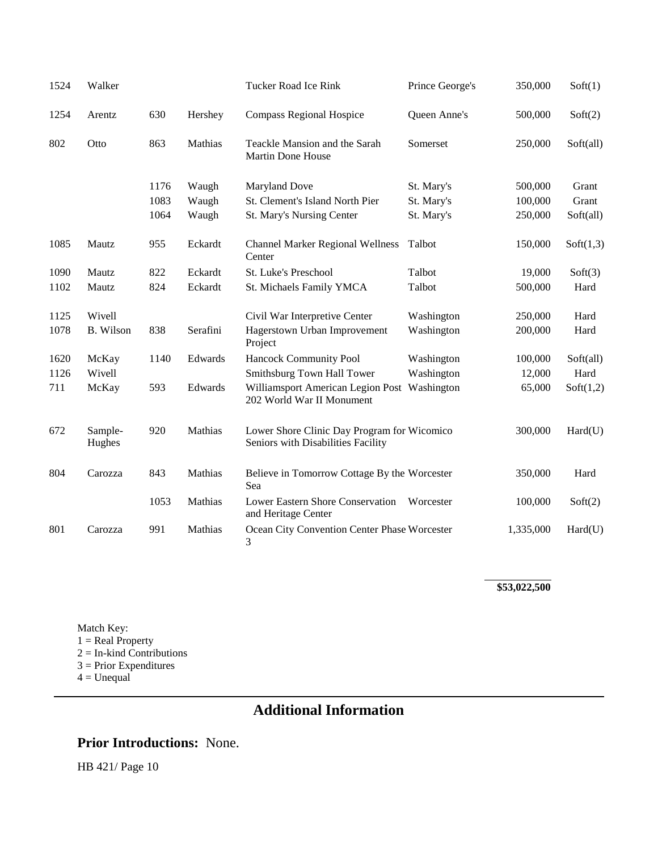| 1524 | Walker            |      |          | Tucker Road Ice Rink                                                              | Prince George's | 350,000   | Soft(1)   |
|------|-------------------|------|----------|-----------------------------------------------------------------------------------|-----------------|-----------|-----------|
| 1254 | Arentz            | 630  | Hershey  | <b>Compass Regional Hospice</b>                                                   | Queen Anne's    | 500,000   | Soft(2)   |
| 802  | Otto              | 863  | Mathias  | Teackle Mansion and the Sarah<br><b>Martin Done House</b>                         | Somerset        | 250,000   | Soft(all) |
|      |                   | 1176 | Waugh    | <b>Maryland Dove</b>                                                              | St. Mary's      | 500,000   | Grant     |
|      |                   | 1083 | Waugh    | St. Clement's Island North Pier                                                   | St. Mary's      | 100,000   | Grant     |
|      |                   | 1064 | Waugh    | St. Mary's Nursing Center                                                         | St. Mary's      | 250,000   | Soft(all) |
| 1085 | Mautz             | 955  | Eckardt  | <b>Channel Marker Regional Wellness</b><br>Center                                 | Talbot          | 150,000   | Soft(1,3) |
| 1090 | Mautz             | 822  | Eckardt  | St. Luke's Preschool                                                              | Talbot          | 19,000    | Soft(3)   |
| 1102 | Mautz             | 824  | Eckardt  | St. Michaels Family YMCA                                                          | Talbot          | 500,000   | Hard      |
| 1125 | Wivell            |      |          | Civil War Interpretive Center                                                     | Washington      | 250,000   | Hard      |
| 1078 | <b>B.</b> Wilson  | 838  | Serafini | Hagerstown Urban Improvement<br>Project                                           | Washington      | 200,000   | Hard      |
| 1620 | McKay             | 1140 | Edwards  | Hancock Community Pool                                                            | Washington      | 100,000   | Soft(all) |
| 1126 | Wivell            |      |          | Smithsburg Town Hall Tower                                                        | Washington      | 12,000    | Hard      |
| 711  | McKay             | 593  | Edwards  | Williamsport American Legion Post Washington<br>202 World War II Monument         |                 | 65,000    | Soft(1,2) |
| 672  | Sample-<br>Hughes | 920  | Mathias  | Lower Shore Clinic Day Program for Wicomico<br>Seniors with Disabilities Facility |                 | 300,000   | Hard(U)   |
| 804  | Carozza           | 843  | Mathias  | Believe in Tomorrow Cottage By the Worcester<br>Sea                               |                 | 350,000   | Hard      |
|      |                   | 1053 | Mathias  | Lower Eastern Shore Conservation<br>and Heritage Center                           | Worcester       | 100,000   | Soft(2)   |
| 801  | Carozza           | 991  | Mathias  | Ocean City Convention Center Phase Worcester<br>3                                 |                 | 1,335,000 | Hard(U)   |

**\$53,022,500**

Match Key:  $1 = Real Property$ 2 = In-kind Contributions 3 = Prior Expenditures  $4 =$ Unequal

# **Additional Information**

### **Prior Introductions:** None.